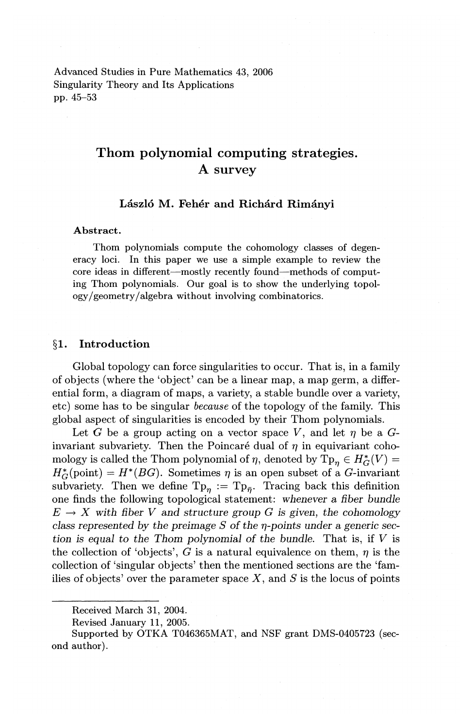Advanced Studies in Pure Mathematics 43, 2006 Singularity Theory and Its Applications pp. 45-53

# **Thorn polynomial computing strategies. A survey**

# **Laszlo M. Feher and Richard Rimanyi**

#### **Abstract.**

Thom polynomials compute the cohomology classes of degeneracy loci. In this paper we use a simple example to review the core ideas in different-mostly recently found-methods of computing Thorn polynomials. Our goal is to show the underlying topol $ogy/geometry/algebra without involving combinatorics.$ 

# **§1. Introduction**

Global topology can force singularities to occur. That is, in a family of objects (where the 'object' can be a linear map, a map germ, a differential form, a diagram of maps, a variety, a stable bundle over a variety, etc) some has to be singular *because* of the topology of the family. This global aspect of singularities is encoded by their Thorn polynomials.

Let *G* be a group acting on a vector space *V*, and let  $\eta$  be a *G*invariant subvariety. Then the Poincaré dual of  $\eta$  in equivariant cohomology is called the Thom polynomial of  $\eta$ , denoted by  $\text{Tp}_n \in H^*_G(V) =$  $H_G^*(\text{point}) = H^*(BG)$ . Sometimes  $\eta$  is an open subset of a G-invariant subvariety. Then we define  $Tp_n := Tp_{\overline{n}}$ . Tracing back this definition one finds the following topological statement: *whenever* a *fiber bundle*   $E \rightarrow X$  with fiber V and *structure group* G is given, the cohomology *class represented by the preimage S of the*  $\eta$ *-points under a generic section is equal* to *the Thom polynomial of the bundle.* That is, if *V* is the collection of 'objects',  $G$  is a natural equivalence on them,  $\eta$  is the collection of 'singular objects' then the mentioned sections are the 'families of objects' over the parameter space  $X$ , and  $S$  is the locus of points

Received March 31, 2004.

Revised January 11, 2005.

Supported by OTKA T046365MAT, and NSF grant DMS-0405723 (second author).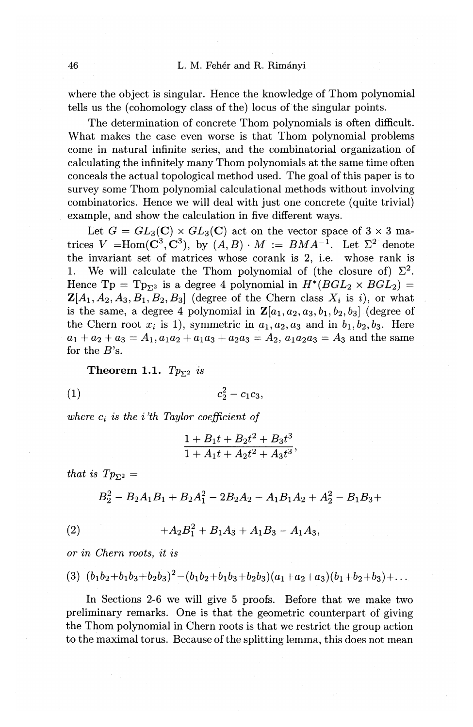where the object is singular. Hence the knowledge of Thom polynomial tells us the (cohomology class of the) locus of the singular points.

The determination of concrete Thom polynomials is often difficult. What makes the case even worse is that Thom polynomial problems come in natural infinite series, and the combinatorial organization of calculating the infinitely many Thom polynomials at the same time often conceals the actual topological method used. The goal of this paper is to survey some Thom polynomial calculational methods without involving combinatorics. Hence we will deal with just one concrete (quite trivial) example, and show the calculation in five different ways.

Let  $G = GL_3(\mathbb{C}) \times GL_3(\mathbb{C})$  act on the vector space of  $3 \times 3$  matrices  $V = \text{Hom}(\mathbf{C}^3, \mathbf{C}^3)$ , by  $(A, B) \cdot M := BMA^{-1}$ . Let  $\Sigma^2$  denote the invariant set of matrices whose corank is 2, i.e. whose rank is 1. We will calculate the Thom polynomial of (the closure of)  $\Sigma^2$ . Hence  $Tp = Tp_{\Sigma^2}$  is a degree 4 polynomial in  $H^*(BGL_2 \times BGL_2)$  $\mathbf{Z}[A_1,A_2,A_3,B_1,B_2,B_3]$  (degree of the Chern class  $X_i$  is i), or what is the same, a degree 4 polynomial in  $\mathbf{Z}[a_1, a_2, a_3, b_1, b_2, b_3]$  (degree of the Chern root  $x_i$  is 1), symmetric in  $a_1, a_2, a_3$  and in  $b_1, b_2, b_3$ . Here  $a_1 + a_2 + a_3 = A_1$ ,  $a_1a_2 + a_1a_3 + a_2a_3 = A_2$ ,  $a_1a_2a_3 = A_3$  and the same for the *B's.* 

**Theorem 1.1.**  $Tp_{\Sigma^2}$  is

$$
(1) \t\t\t\t c_2^2 - c_1 c_3,
$$

*where ci is the* i *'th Taylor coefficient of* 

$$
\frac{1+B_1t+B_2t^2+B_3t^3}{1+A_1t+A_2t^2+A_3t^3},
$$

*that is*  $Tp_{\Sigma^2}$  *=* 

$$
B_2^2 - B_2A_1B_1 + B_2A_1^2 - 2B_2A_2 - A_1B_1A_2 + A_2^2 - B_1B_3 +
$$

$$
(2) \t+ A2B12 + B1A3 + A1B3 - A1A3,
$$

*or in Chern roots, it is* 

$$
(3) (b_1b_2+b_1b_3+b_2b_3)^2-(b_1b_2+b_1b_3+b_2b_3)(a_1+a_2+a_3)(b_1+b_2+b_3)+\ldots
$$

In Sections 2-6 we will give 5 proofs. Before that we make two preliminary remarks. One is that the geometric counterpart of giving the Thorn polynomial in Chern roots is that we restrict the group action to the maximal torus. Because of the splitting lemma, this does not mean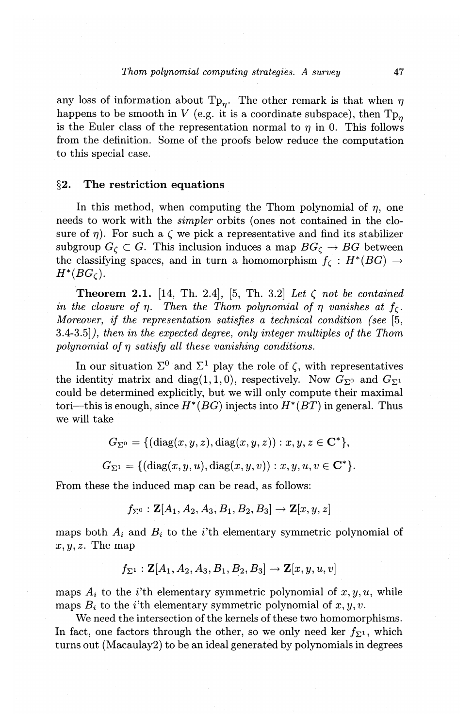any loss of information about  $T_{p_n}$ . The other remark is that when  $\eta$ happens to be smooth in *V* (e.g. it is a coordinate subspace), then  $T_{p_n}$ is the Euler class of the representation normal to  $\eta$  in 0. This follows from the definition. Some of the proofs below reduce the computation to this special case.

#### **§2. The restriction equations**

In this method, when computing the Thom polynomial of  $\eta$ , one needs to work with the *simpler* orbits (ones not contained in the closure of  $\eta$ ). For such a  $\zeta$  we pick a representative and find its stabilizer subgroup  $G_{\zeta} \subset G$ . This inclusion induces a map  $BG_{\zeta} \rightarrow BG$  between the classifying spaces, and in turn a homomorphism  $f_{\zeta}: H^*(BG) \to$  $H^*(BG_{\zeta}).$ 

**Theorem 2.1.** [14, Th. 2.4], [5, Th. 3.2] *Let*  $\zeta$  *not be contained in the closure of*  $\eta$ *. Then the Thom polynomial of*  $\eta$  *vanishes at*  $f_c$ *. Moreover, if the representation satisfies a technical condition {see* [5, 3.4-3.5]}, *then in the expected degree, only integer multiples of the Thom polynomial of*  $\eta$  *satisfy all these vanishing conditions.* 

In our situation  $\Sigma^0$  and  $\Sigma^1$  play the role of  $\zeta$ , with representatives the identity matrix and diag(1, 1, 0), respectively. Now  $G_{\Sigma^0}$  and  $G_{\Sigma^1}$ could be determined explicitly, but we will only compute their maximal tori—this is enough, since  $H^*(BG)$  injects into  $H^*(BT)$  in general. Thus we will take

$$
G_{\Sigma^0} = \{(\mathrm{diag}(x,y,z),\mathrm{diag}(x,y,z)) : x,y,z\in\mathbf{C}^*\},
$$

 $G_{\Sigma_1} = \{(\text{diag}(x, y, u), \text{diag}(x, y, v)) : x, y, u, v \in \mathbb{C}^*\}.$ 

From these the induced map can be read, as follows:

$$
f_{\Sigma^0}: \mathbf{Z}[A_1, A_2, A_3, B_1, B_2, B_3] \to \mathbf{Z}[x, y, z]
$$

maps both  $A_i$  and  $B_i$  to the *i*'th elementary symmetric polynomial of  $x, y, z$ . The map

$$
f_{\Sigma^1}: \mathbf{Z}[A_1, A_2, A_3, B_1, B_2, B_3] \to \mathbf{Z}[x, y, u, v]
$$

maps  $A_i$  to the *i*'th elementary symmetric polynomial of  $x, y, u$ , while maps  $B_i$  to the *i*'th elementary symmetric polynomial of  $x, y, v$ .

We need the intersection of the kernels of these two homomorphisms. In fact, one factors through the other, so we only need ker  $f_{\Sigma^1}$ , which turns out (Macaulay2) to be an ideal generated by polynomials in degrees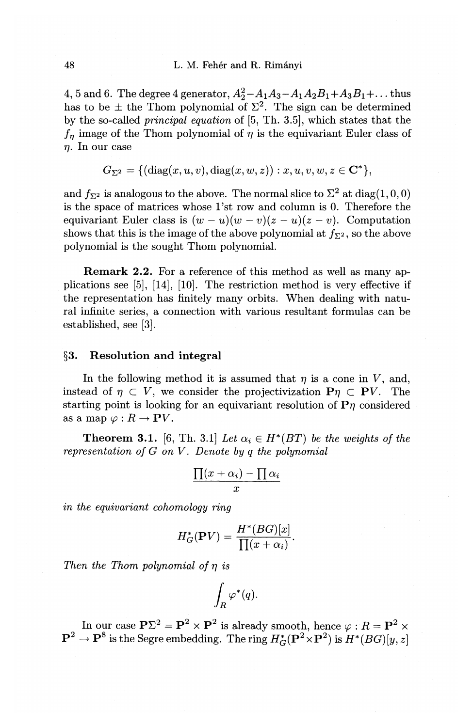4, 5 and 6. The degree 4 generator,  $A_2^2 - A_1A_3 - A_1A_2B_1 + A_3B_1 + ...$  thus has to be  $\pm$  the Thom polynomial of  $\Sigma^2$ . The sign can be determined by the so-called *principal equation* of [5, Th. 3.5], which states that the  $f_n$  image of the Thom polynomial of  $\eta$  is the equivariant Euler class of  $\eta$ . In our case

 $G_{\Sigma^2} = \{(\text{diag}(x,u,v),\text{diag}(x,w,z)) : x, u, v, w, z \in \mathbb{C}^*\},$ 

and  $f_{\Sigma^2}$  is analogous to the above. The normal slice to  $\Sigma^2$  at diag(1,0,0) is the space of matrices whose 1 'st row and column is 0. Therefore the equivariant Euler class is  $(w - u)(w - v)(z - u)(z - v)$ . Computation shows that this is the image of the above polynomial at  $f_{\Sigma^2}$ , so the above polynomial is the sought Thom polynomial.

Remark 2.2. For a reference of this method as well as many applications see [5], [14], [10]. The restriction method is very effective if the representation has finitely many orbits. When dealing with natural infinite series, a connection with various resultant formulas can be established, see [3].

# §3. Resolution and integral

In the following method it is assumed that  $\eta$  is a cone in V, and, instead of  $\eta \subset V$ , we consider the projectivization  $P\eta \subset PV$ . The starting point is looking for an equivariant resolution of  $P\eta$  considered as a map  $\varphi : R \to \mathbf{P}V$ .

**Theorem 3.1.** [6, Th. 3.1] Let  $\alpha_i \in H^*(BT)$  be the weights of the *representation of G on V. Denote by q the polynomial* 

$$
\frac{\prod(x+\alpha_i)-\prod\alpha_i}{x}
$$

*in the equivariant cohomology ring* 

$$
H_G^*(\mathbf{P}V) = \frac{H^*(BG)[x]}{\prod(x+\alpha_i)}.
$$

*Then the Thom polynomial of*  $\eta$  *is* 

$$
\int_R \varphi^*(q).
$$

In our case  $P\Sigma^2 = P^2 \times P^2$  is already smooth, hence  $\varphi : R = P^2 \times P^2$  $\mathbf{P}^2 \to \mathbf{P}^8$  is the Segre embedding. The ring  $H_G^*(\mathbf{P}^2 \times \mathbf{P}^2)$  is  $H^*(BG)[y, z]$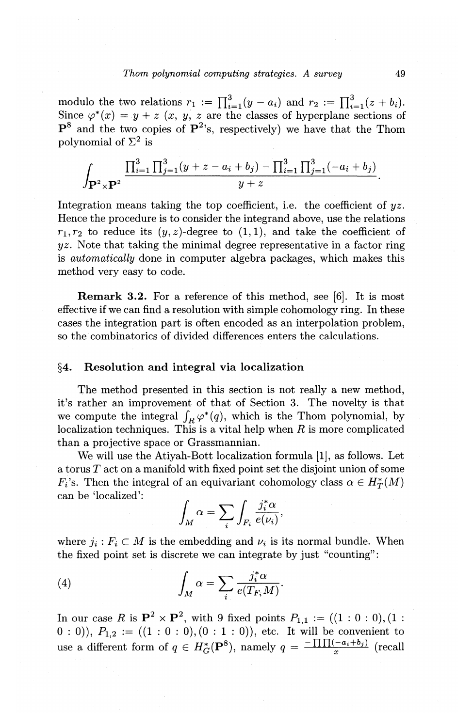modulo the two relations  $r_1 := \prod_{i=1}^{3} (y - a_i)$  and  $r_2 := \prod_{i=1}^{3} (z + b_i)$ . Since  $\varphi^*(x) = y + z$  (x, y, z are the classes of hyperplane sections of  $P^8$  and the two copies of  $P^2$ 's, respectively) we have that the Thom polynomial of  $\Sigma^2$  is

$$
\int_{\mathbf{P}^2 \times \mathbf{P}^2} \frac{\prod_{i=1}^3 \prod_{j=1}^3 (y+z-a_i+b_j) - \prod_{i=1}^3 \prod_{j=1}^3 (-a_i+b_j)}{y+z}.
$$

Integration means taking the top coefficient, i.e. the coefficient of  $yz$ . Hence the procedure is to consider the integrand above, use the relations  $r_1, r_2$  to reduce its  $(y, z)$ -degree to  $(1, 1)$ , and take the coefficient of  $yz$ . Note that taking the minimal degree representative in a factor ring is *automatically* done in computer algebra packages, which makes this method very easy to code.

Remark 3.2. For a reference of this method, see [6]. It is most effective if we can find a resolution with simple cohomology ring. In these cases the integration part is often encoded as an interpolation problem, so the combinatorics of divided differences enters the calculations.

#### §4. Resolution and integral via localization

The method presented in this section is not really a new method, it's rather an improvement of that of Section 3. The novelty is that we compute the integral  $\int_R \varphi^*(q)$ , which is the Thom polynomial, by localization techniques. This is a vital help when  $R$  is more complicated than a projective space or Grassmannian.

We will use the Atiyah-Bott localization formula [1], as follows. Let a torus *T* act on a manifold with fixed point set the disjoint union of some *F<sub>i</sub>*'s. Then the integral of an equivariant cohomology class  $\alpha \in H_T^*(M)$ can be 'localized':

$$
\int_M \alpha = \sum_i \int_{F_i} \frac{j_i^* \alpha}{e(\nu_i)},
$$

where  $j_i : F_i \subset M$  is the embedding and  $\nu_i$  is its normal bundle. When the fixed point set is discrete we can integrate by just "counting":

(4) 
$$
\int_M \alpha = \sum_i \frac{j_i^* \alpha}{e(T_{F_i} M)}.
$$

In our case *R* is  $\mathbf{P}^2 \times \mathbf{P}^2$ , with 9 fixed points  $P_{1,1} := ((1 : 0 : 0), (1 :$  $(0: 0)$ ,  $P_{1,2} := ((1: 0: 0), (0: 1: 0))$ , etc. It will be convenient to use a different form of  $q \in H^*_{G}(\mathbf{P}^8)$ , namely  $q = \frac{-\prod (1 - a_i + b_j)}{r}$  (recall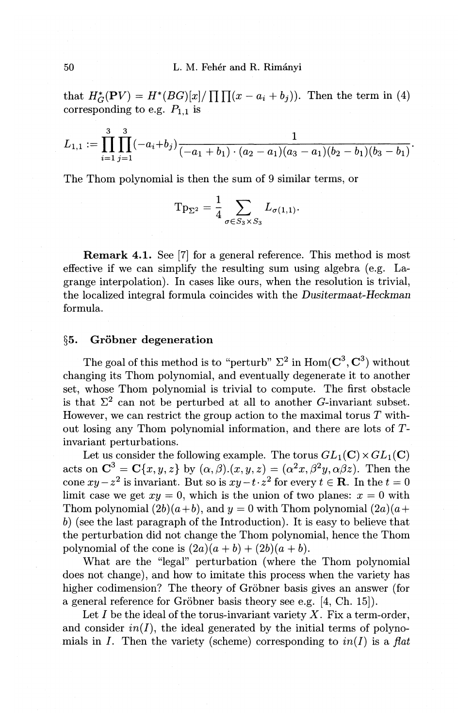that  $H_G^*(PV) = H^*(BG)[x]/\prod \prod (x - a_i + b_j)).$  Then the term in (4) corresponding to e.g.  $P_{1,1}$  is

$$
L_{1,1}:=\prod_{i=1}^3\prod_{j=1}^3(-a_i+b_j)\frac{1}{(-a_1+b_1)\cdot(a_2-a_1)(a_3-a_1)(b_2-b_1)(b_3-b_1)}.
$$

The Thom polynomial is then the sum of 9 similar terms, or

$$
\mathrm{Tp}_{\Sigma^2} = \frac{1}{4} \sum_{\sigma \in S_3 \times S_3} L_{\sigma(1,1)}.
$$

Remark 4.1. See [7] for a general reference. This method is most effective if we can simplify the resulting sum using algebra (e.g. Lagrange interpolation). In cases like ours, when the resolution is trivial, the localized integral formula coincides with the *Dusitermaat-Heckman*  formula.

# $§5.$  Gröbner degeneration

The goal of this method is to "perturb"  $\Sigma^2$  in Hom( $\mathbf{C}^3$ ,  $\mathbf{C}^3$ ) without changing its Thom polynomial, and eventually degenerate it to another set, whose Thom polynomial is trivial to compute. The first obstacle is that  $\Sigma^2$  can not be perturbed at all to another G-invariant subset. However, we can restrict the group action to the maximal torus *T* without losing any Thom polynomial information, and there are lots of  $T$ invariant perturbations.

Let us consider the following example. The torus  $GL_1(\mathbb{C}) \times GL_1(\mathbb{C})$ acts on  $C^3 = C\{x,y,z\}$  by  $(\alpha,\beta)(x,y,z) = (\alpha^2x,\beta^2y,\alpha\beta z)$ . Then the cone  $xy-z^2$  is invariant. But so is  $xy-t\cdot z^2$  for every  $t\in\mathbf{R}$ . In the  $t=0$ limit case we get  $xy = 0$ , which is the union of two planes:  $x = 0$  with Thom polynomial  $(2b)(a+b)$ , and  $y=0$  with Thom polynomial  $(2a)(a+b)$ b) (see the last paragraph of the Introduction). It is easy to believe that the perturbation did not change the Thom polynomial, hence the Thom polynomial of the cone is  $(2a)(a + b) + (2b)(a + b)$ .

What are the "legal" perturbation (where the Thom polynomial does not change), and how to imitate this process when the variety has higher codimension? The theory of Gröbner basis gives an answer (for a general reference for Gröbner basis theory see e.g.  $[4, Ch. 15]$ .

Let  $I$  be the ideal of the torus-invariant variety  $X$ . Fix a term-order, and consider  $in(I)$ , the ideal generated by the initial terms of polynomials in *I*. Then the variety (scheme) corresponding to  $in(I)$  is a *flat*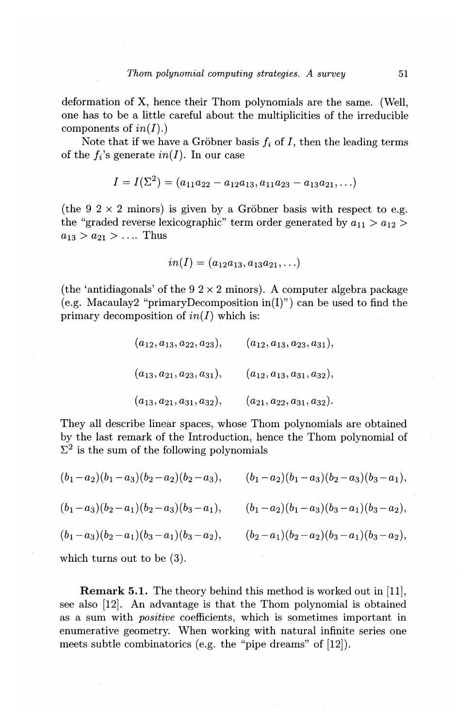deformation of X, hence their Thom polynomials are the same. (Well, one has to be a little careful about the multiplicities of the irreducible components of *in(I).)* 

Note that if we have a Gröbner basis  $f_i$  of  $I$ , then the leading terms of the  $f_i$ 's generate  $in(I)$ . In our case

$$
I = I(\Sigma^2) = (a_{11}a_{22} - a_{12}a_{13}, a_{11}a_{23} - a_{13}a_{21}, \ldots)
$$

(the 9  $2 \times 2$  minors) is given by a Gröbner basis with respect to e.g. the "graded reverse lexicographic" term order generated by  $a_{11} > a_{12} > a_{12}$  $a_{13} > a_{21} > \ldots$  Thus

$$
in(I) = (a_{12}a_{13}, a_{13}a_{21}, \ldots)
$$

(the 'antidiagonals' of the  $9.2 \times 2$  minors). A computer algebra package (e.g. Macaulay2 "primary Decomposition in(I)") can be used to find the primary decomposition of  $in(I)$  which is:

$$
(a_{12}, a_{13}, a_{22}, a_{23}), \t (a_{12}, a_{13}, a_{23}, a_{31}),
$$
  

$$
(a_{13}, a_{21}, a_{23}, a_{31}), \t (a_{12}, a_{13}, a_{31}, a_{32}),
$$
  

$$
(a_{13}, a_{21}, a_{31}, a_{32}), \t (a_{21}, a_{22}, a_{31}, a_{32}).
$$

They all describe linear spaces, whose Thom polynomials are obtained by the last remark of the Introduction, hence the Thom polynomial of  $\Sigma^2$  is the sum of the following polynomials

$$
(b_1-a_2)(b_1-a_3)(b_2-a_2)(b_2-a_3), \t (b_1-a_2)(b_1-a_3)(b_2-a_3)(b_3-a_1),(b_1-a_3)(b_2-a_1)(b_2-a_3)(b_3-a_1), \t (b_1-a_2)(b_1-a_3)(b_3-a_1)(b_3-a_2),(b_1-a_3)(b_2-a_1)(b_3-a_1)(b_3-a_2), \t (b_2-a_1)(b_2-a_2)(b_3-a_1)(b_3-a_2),
$$

which turns out to be (3).

Remark 5.1. The theory behind this method is worked out in [11], see also [12]. An advantage is that the Thom polynomial is obtained as a sum with *positive* coefficients, which is sometimes important in enumerative geometry. When working with natural infinite series one meets subtle combinatorics (e.g. the "pipe dreams" of [12]).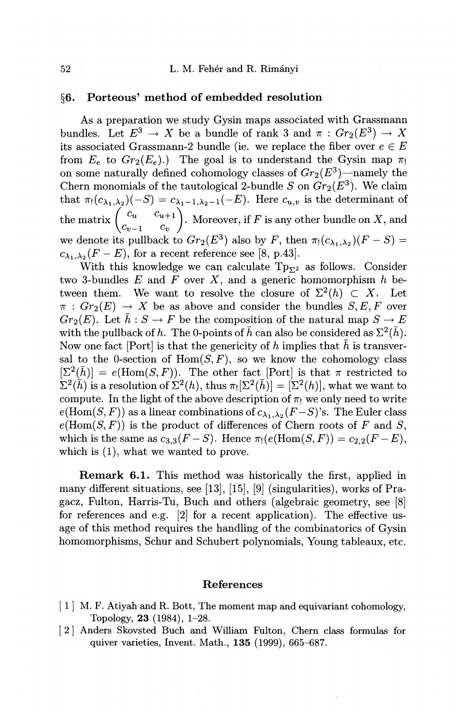# 52 L. M. Feher and R. Rimanyi

# **§6. Porteous' method of embedded resolution**

As a preparation we study Gysin maps associated with Grassmann bundles. Let  $E^3 \to X$  be a bundle of rank 3 and  $\pi : Gr_2(E^3) \to X$ its associated Grassmann-2 bundle (ie. we replace the fiber over  $e \in E$ from  $E_e$  to  $Gr_2(E_e)$ .) The goal is to understand the Gysin map  $\pi_1$ on some naturally defined cohomology classes of  $Gr_2(E^3)$ —namely the Chern monomials of the tautological 2-bundle S on  $Gr_2(E^3)$ . We claim that  $\pi_1(c_{\lambda_1,\lambda_2})(-S) = c_{\lambda_1-1,\lambda_2-1}(-E)$ . Here  $c_{u,v}$  is the determinant of the matrix  $\begin{pmatrix} c_u & c_{u+1} \\ c_{v-1} & c_v \end{pmatrix}$ . Moreover, if F is any other bundle on X, and we denote its pullback to  $Gr_2(E^3)$  also by *F*, then  $\pi_1(c_{\lambda_1,\lambda_2})(F-S)$  $c_{\lambda_1,\lambda_2}(F-E)$ , for a recent reference see [8, p.43].

With this knowledge we can calculate  $Tp_{\Sigma^2}$  as follows. Consider two 3-bundles *E* and *F* over *X,* and a generic homomorphism *h* between them. We want to resolve the closure of  $\Sigma^2(h) \subset X$ . Let  $\pi: Gr_2(E) \to X$  be as above and consider the bundles  $S, E, F$  over  $Gr_2(E)$ . Let  $\bar{h}: S \to F$  be the composition of the natural map  $S \to E$ with the pullback of h. The 0-points of  $\bar{h}$  can also be considered as  $\Sigma^2(\bar{h})$ . Now one fact [Port] is that the genericity of h implies that  $\bar{h}$  is transversal to the 0-section of  $Hom(S, F)$ , so we know the cohomology class  $[\Sigma^2(\bar{h})] = e(\text{Hom}(S, F)).$  The other fact [Port] is that  $\pi$  restricted to  $\sum^2(\bar{h})$  is a resolution of  $\Sigma^2(h)$ , thus  $\pi_![\Sigma^2(\bar{h})] = [\Sigma^2(h)]$ , what we want to compute. In the light of the above description of  $\pi_!$  we only need to write  $e(\text{Hom}(S, F))$  as a linear combinations of  $c_{\lambda_1, \lambda_2}(F - S)$ 's. The Euler class  $e(\text{Hom}(S, F))$  is the product of differences of Chern roots of F and S, which is the same as  $c_{3,3}(F-S)$ . Hence  $\pi_1(e(\text{Hom}(S, F))= c_{2,2}(F-E)$ , which is **(1),** what we wanted to prove.

**Remark 6.1.** This method was historically the first, applied in many different situations, see [13], [15], [9] (singularities), works of Pragacz, Fulton, Harris-Tu, Buch and others (algebraic geometry, see [8] for references and e.g. [2] for a recent application). The effective usage of this method requires the handling of the combinatorics of Gysin homomorphisms, Schur and Schubert polynomials, Young tableaux, etc.

### **References**

- [1] M. F. Atiyah and R. Bott, The moment map and equivariant cohomology, Topology, **23** (1984), 1-28.
- [ 2] Anders Skovsted Buch and William Fulton, Chern class formulas for quiver varieties, Invent. Math., **135** (1999), 665-687.